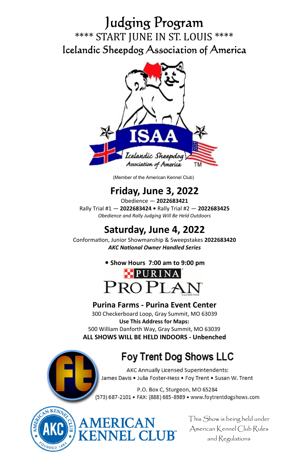# Judging Program \*\*\*\* START JUNE IN ST. LOUIS \*\*\*\* Icelandic Sheepdog Association of America



(Member of the American Kennel Club)

## **Friday, June 3, 2022**

Obedience — **2022683421**  Rally Trial #1 — **2022683424 •** Rally Trial #2 — **2022683425**  *Obedience and Rally Judging Will Be Held Outdoors* 

## **Saturday, June 4, 2022**

ConformaƟon, Junior Showmanship & Sweepstakes **2022683420**  *AKC NaƟonal Owner Handled Series*





## **Purina Farms - Purina Event Center**

300 Checkerboard Loop, Gray Summit, MO 63039 **Use This Address for Maps:**  500 William Danforth Way, Gray Summit, MO 63039 **ALL SHOWS WILL BE HELD INDOORS - Unbenched** 

RICAN<br>NEL CLUB®

## **Foy Trent Dog Shows LLC**

AKC Annually Licensed Superintendents: James Davis . Julia Foster-Hess . Foy Trent . Susan W. Trent

P.O. Box C, Sturgeon, MO 65284 (573) 687-2101 · FAX: (888) 685-8989 · www.foytrentdogshows.com



This Show is being held under American Kennel Club Rules and Regulations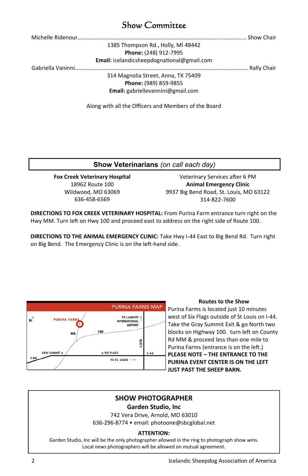## Show Committee

1385 Thompson Rd., Holly, MI 48442 **Phone:** (248) 912-7995 **Email:** icelandicsheepdognaƟonal@gmail.com

Gabriella Vaninni……………………………….………………………………………………………………………… Rally Chair

314 Magnolia Street, Anna, TX 75409

**Phone:** (989) 859-9855 **Email:** gabriellevannini@gmail.com

Along with all the Officers and Members of the Board

### **Show Veterinarians** *(on call each day)*

**Fox Creek Veterinary Hospital**  18962 Route 100 Wildwood, MO 63069 636-458-6569

Veterinary Services after 6 PM **Animal Emergency Clinic**  9937 Big Bend Road, St. Louis, MO 63122 314-822-7600

**DIRECTIONS TO FOX CREEK VETERINARY HOSPITAL:** From Purina Farm entrance turn right on the Hwy MM. Turn left on Hwy 100 and proceed east to address on the right side of Route 100.

**DIRECTIONS TO THE ANIMAL EMERGENCY CLINIC:** Take Hwy I-44 East to Big Bend Rd. Turn right on Big Bend. The Emergency Clinic is on the left-hand side.



#### **Routes to the Show**

Purina Farms is located just 10 minutes west of Six Flags outside of St Louis on I-44. Take the Gray Summit Exit & go North two blocks on Highway 100. turn left on County Rd MM & proceed less than one mile to Purina Farms (entrance is on the left.) **PLEASE NOTE – THE ENTRANCE TO THE PURINA EVENT CENTER IS ON THE LEFT JUST PAST THE SHEEP BARN.** 

## **SHOW PHOTOGRAPHER**

**Garden Studio, Inc** 

742 Vera Drive, Arnold, MO 63010 636-296-8774 • email: photoone@sbcglobal.net

### **ATTENTION:**

Garden Studio, Inc will be the only photographer allowed in the ring to photograph show wins. Local news photographers will be allowed on mutual agreement.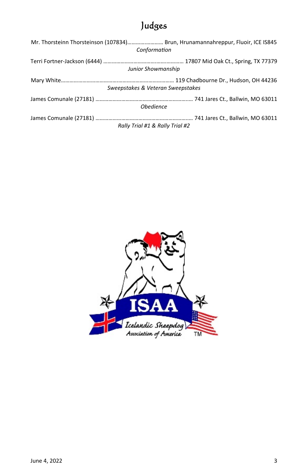# Judges

| Mr. Thorsteinn Thorsteinson (107834) Brun, Hrunamannahreppur, Fluoir, ICE IS845<br>Conformation |
|-------------------------------------------------------------------------------------------------|
| Junior Showmanship                                                                              |
| Sweepstakes & Veteran Sweepstakes                                                               |
| <b>Obedience</b>                                                                                |
| Rally Trial #1 & Rally Trial #2                                                                 |

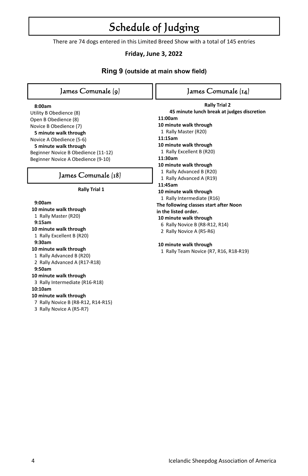# Schedule of Judging

There are 74 dogs entered in this Limited Breed Show with a total of 145 entries

## **Friday, June 3, 2022**

## **Ring 9 (outside at main show field)**

| James Comunale (9)                  | James Comunale (14)                        |
|-------------------------------------|--------------------------------------------|
| 8:00am                              | <b>Rally Trial 2</b>                       |
| Utility B Obedience (8)             | 45 minute lunch break at judges discretion |
| Open B Obedience (8)                | 11:00am                                    |
| Novice B Obedience (7)              | 10 minute walk through                     |
| 5 minute walk through               | 1 Rally Master (R20)                       |
| Novice A Obedience (5-6)            | 11:15am                                    |
| 5 minute walk through               | 10 minute walk through                     |
| Beginner Novice B Obedience (11-12) | 1 Rally Excellent B (R20)                  |
| Beginner Novice A Obedience (9-10)  | 11:30am                                    |
|                                     | 10 minute walk through                     |
| James Comunale (18)                 | 1 Rally Advanced B (R20)                   |
|                                     | 1 Rally Advanced A (R19)                   |
| <b>Rally Trial 1</b>                | 11:45am                                    |
|                                     | 10 minute walk through                     |
| 9:00am                              | 1 Rally Intermediate (R16)                 |
| 10 minute walk through              | The following classes start after Noon     |
| 1 Rally Master (R20)                | in the listed order.                       |
| 9:15am                              | 10 minute walk through                     |
| 10 minute walk through              | 6 Rally Novice B (R8-R12, R14)             |
| 1 Rally Excellent B (R20)           | 2 Rally Novice A (R5-R6)                   |
| 9:30am                              |                                            |
| 10 minute walk through              | 10 minute walk through                     |
| 1 Rally Advanced B (R20)            | 1 Rally Team Novice (R7, R16, R18-R19)     |
| 2 Rally Advanced A (R17-R18)        |                                            |
| 9:50am                              |                                            |
| 10 minute walk through              |                                            |
| 3 Rally Intermediate (R16-R18)      |                                            |
| 10:10am                             |                                            |
| 10 minute walk through              |                                            |
| 7 Rally Novice B (R8-R12, R14-R15)  |                                            |
| 3 Rally Novice A (R5-R7)            |                                            |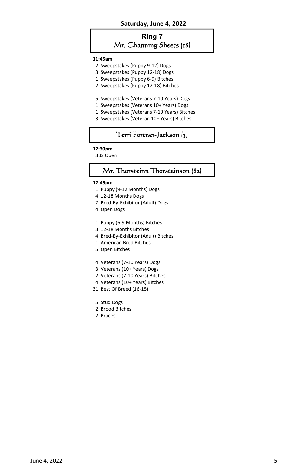#### **Saturday, June 4, 2022**

## **Ring 7**

## Mr. Channing Sheets (18)

#### **11:45am**

- 2 Sweepstakes (Puppy 9-12) Dogs
- 3 Sweepstakes (Puppy 12-18) Dogs
- 1 Sweepstakes (Puppy 6-9) Bitches
- 2 Sweepstakes (Puppy 12-18) Bitches
- 5 Sweepstakes (Veterans 7-10 Years) Dogs
- 1 Sweepstakes (Veterans 10+ Years) Dogs
- 1 Sweepstakes (Veterans 7-10 Years) Bitches
- 3 Sweepstakes (Veteran 10+ Years) Bitches

## Terri Fortner-Jackson (3)

#### **12:30pm**

3 JS Open

### Mr. Thorsteinn Thorsteinson (82)

#### **12:45pm**

- 1 Puppy (9-12 Months) Dogs
- 4 12-18 Months Dogs
- 7 Bred-By-Exhibitor (Adult) Dogs
- 4 Open Dogs
- 1 Puppy (6-9 Months) Bitches
- 3 12-18 Months Bitches
- 4 Bred-By-Exhibitor (Adult) Bitches
- 1 American Bred Bitches
- 5 Open Bitches
- 4 Veterans (7-10 Years) Dogs
- 3 Veterans (10+ Years) Dogs
- 2 Veterans (7-10 Years) Bitches
- 4 Veterans (10+ Years) Bitches
- 31 Best Of Breed (16-15)
- 5 Stud Dogs
- 2 Brood Bitches
- 2 Braces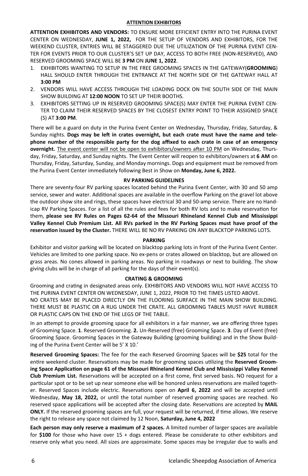### **ATTENTION EXHIBITORS**

**ATTENTION EXHIBITORS AND VENDORS:** TO ENSURE MORE EFFICIENT ENTRY INTO THE PURINA EVENT CENTER ON WEDNESDAY, **JUNE 1, 2022,** FOR THE SETUP OF VENDORS AND EXHIBITORS, FOR THE WEEKEND CLUSTER, ENTRIES WILL BE STAGGERED DUE THE UTILIZATION OF THE PURINA EVENT CEN-TER FOR EVENTS PRIOR TO OUR CLUSTER'S SET UP DAY, ACCESS TO BOTH FREE (NON-RESERVED), AND RESERVED GROOMING SPACE WILL BE **3 PM** ON **JUNE 1, 2022**.

- 1. EXHIBITORS WANTING TO SETUP IN THE FREE GROOMING SPACES IN THE GATEWAY(**GROOMING**) HALL SHOULD ENTER THROUGH THE ENTRANCE AT THE NORTH SIDE OF THE GATEWAY HALL AT **3:00 PM**
- 2. VENDORS WILL HAVE ACCESS THROUGH THE LOADING DOCK ON THE SOUTH SIDE OF THE MAIN SHOW BUILDING AT **12:00 NOON** TO SET UP THEIR BOOTHS.
- 3. EXHIBITORS SETTING UP IN RESERVED GROOMING SPACE(S) MAY ENTER THE PURINA EVENT CEN-TER TO CLAIM THEIR RESERVED SPACES BY THE CLOSEST ENTRY POINT TO THEIR ASSIGNED SPACE (S) AT **3:00 PM**.

There will be a guard on duty in the Purina Event Center on Wednesday, Thursday, Friday, Saturday, & Sunday nights. Dogs may be left in crates overnight, but each crate must have the name and tele**phone number of the responsible party for the dog affixed to each crate in case of an emergency overnight.** The event center will not be open to exhibitors/owners after 10 PM on Wednesday, Thursday, Friday, Saturday, and Sunday nights. The Event Center will reopen to exhibitors/owners at **6 AM** on Thursday, Friday, Saturday, Sunday, and Monday mornings. Dogs and equipment must be removed from the Purina Event Center immediately following Best in Show on **Monday, June 6, 2022.** 

#### **RV PARKING GUIDELINES**

There are seventy-four RV parking spaces located behind the Purina Event Center, with 30 and 50 amp service, sewer and water. Additional spaces are available in the overflow Parking on the gravel lot above the outdoor show site and rings, these spaces have electrical 30 and 50-amp service. There are no Handicap RV Parking Spaces. For a list of all the rules and fees for both RV lots and to make reservation for them, **please see RV Rules on Pages 62-64 of the Missouri Rhineland Kennel Club and Mississippi Valley Kennel Club Premium List. All RVs parked in the RV Parking Spaces must have proof of the reservaƟon issued by the Cluster.** THERE WILL BE NO RV PARKING ON ANY BLACKTOP PARKING LOTS.

#### **PARKING**

Exhibitor and visitor parking will be located on blacktop parking lots in front of the Purina Event Center. Vehicles are limited to one parking space. No ex-pens or crates allowed on blacktop, but are allowed on grass areas. No cones allowed in parking areas. No parking in roadways or next to building. The show giving clubs will be in charge of all parking for the days of their event(s).

#### **CRATING & GROOMING**

Grooming and craƟng in designated areas only. EXHIBITORS AND VENDORS WILL NOT HAVE ACCESS TO THE PURINA EVENT CENTER ON WEDNESDAY, JUNE 1, 2022, PRIOR TO THE TIMES LISTED ABOVE. NO CRATES MAY BE PLACED DIRECTLY ON THE FLOORING SURFACE IN THE MAIN SHOW BUILDING. THERE MUST BE PLASTIC OR A RUG UNDER THE CRATE. ALL GROOMING TABLES MUST HAVE RUBBER OR PLASTIC CAPS ON THE END OF THE LEGS OF THE TABLE.

In an attempt to provide grooming space for all exhibitors in a fair manner, we are offering three types of Grooming Space. **1**. Reserved Grooming. **2.** Un-Reserved (free) Grooming Space. **3**. Day of Event (free) Grooming Space. Grooming Spaces in the Gateway Building (grooming building) and in the Show Building of the Purina Event Center will be 5' X 10.'

**Reserved Grooming Spaces:** The fee for the each Reserved Grooming Spaces will be **\$25** total for the entire weekend cluster. Reservations may be made for grooming spaces utilizing the **Reserved Grooming Space ApplicaƟon on page 61 of the Missouri Rhineland Kennel Club and Mississippi Valley Kennel Club Premium List.** Reservations will be accepted on a first come, first served basis. NO request for a particular spot or to be set up near someone else will be honored unless reservations are mailed together. Reserved Spaces include electric. Reservations open on April 6, 2022 and will be accepted until Wednesday, May 18, 2022, or until the total number of reserved grooming spaces are reached. No reserved space applications will be accepted after the closing date. Reservations are accepted by **MAIL ONLY.** If the reserved grooming spaces are full, your request will be returned, if time allows. We reserve the right to release any space not claimed by 12 Noon, **Saturday, June 4, 2022** 

**Each person may only reserve a maximum of 2 spaces.** A limited number of larger spaces are available for **\$100** for those who have over 15 + dogs entered. Please be considerate to other exhibitors and reserve only what you need. All sizes are approximate. Some spaces may be irregular due to walls and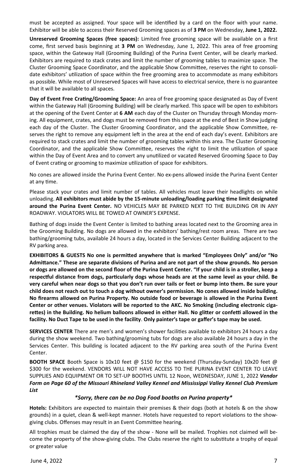must be accepted as assigned. Your space will be identified by a card on the floor with your name. Exhibitor will be able to access their Reserved Grooming spaces as of **3 PM** on Wednesday, **June 1, 2022.** 

**Unreserved Grooming Spaces (free spaces):** Limited free grooming space will be available on a first come, first served basis beginning at **3 PM** on Wednesday, June 1, 2022. This area of free grooming space, within the Gateway Hall (Grooming Building) of the Purina Event Center, will be clearly marked. Exhibitors are required to stack crates and limit the number of grooming tables to maximize space. The Cluster Grooming Space Coordinator, and the applicable Show Committee, reserves the right to consolidate exhibitors' utilization of space within the free grooming area to accommodate as many exhibitors as possible. While most of Unreserved Spaces will have access to electrical service, there is no guarantee that it will be available to all spaces.

Day of Event Free Crating/Grooming Space: An area of free grooming space designated as Day of Event within the Gateway Hall (Grooming Building) will be clearly marked. This space will be open to exhibitors at the opening of the Event Center at **6 AM** each day of the Cluster on Thursday through Monday morning. All equipment, crates, and dogs must be removed from this space at the end of Best in Show judging each day of the Cluster. The Cluster Grooming Coordinator, and the applicable Show Committee, reserves the right to remove any equipment left in the area at the end of each day's event. Exhibitors are required to stack crates and limit the number of grooming tables within this area. The Cluster Grooming Coordinator, and the applicable Show Committee, reserves the right to limit the utilization of space within the Day of Event Area and to convert any unutilized or vacated Reserved Grooming Space to Day of Event crating or grooming to maximize utilization of space for exhibitors.

No cones are allowed inside the Purina Event Center. No ex-pens allowed inside the Purina Event Center at any time.

Please stack your crates and limit number of tables. All vehicles must leave their headlights on while unloading. All exhibitors must abide by the 15-minute unloading/loading parking time limit designated **around the Purina Event Center.** NO VEHICLES MAY BE PARKED NEXT TO THE BUILDING OR IN ANY ROADWAY. VIOLATORS WILL BE TOWED AT OWNER'S EXPENSE.

Bathing of dogs inside the Event Center is limited to bathing areas located next to the Grooming area in the Grooming Building. No dogs are allowed in the exhibitors' bathing/rest room areas. There are two bathing/grooming tubs, available 24 hours a day, located in the Services Center Building adjacent to the RV parking area.

**EXHIBITORS & GUESTS No one is permiƩed anywhere that is marked "Employees Only" and/or "No AdmiƩance." These are separate divisions of Purina and are not part of the show grounds. No person or dogs are allowed on the second floor of the Purina Event Center. "If your child is in a stroller, keep a respecƞul distance from dogs, parƟcularly dogs whose heads are at the same level as your child. Be very careful when near dogs so that you don't run over tails or feet or bump into them. Be sure your child does not reach out to touch a dog without owner's permission. No cones allowed inside building. No firearms allowed on Purina Property. No outside food or beverage is allowed in the Purina Event Center or other venues. Violators will be reported to the AKC. No Smoking (including electronic cigareƩes) in the Building. No helium balloons allowed in either Hall. No gliƩer or confeƫ allowed in the facility. No Duct Tape to be used in the facility**. **Only painter's tape or gaffer's tape may be used.** 

**SERVICES CENTER** There are men's and women's shower facilities available to exhibitors 24 hours a day during the show weekend. Two bathing/grooming tubs for dogs are also available 24 hours a day in the Services Center. This building is located adjacent to the RV parking area south of the Purina Event Center.

**BOOTH SPACE** Booth Space is 10x10 feet @ \$150 for the weekend (Thursday-Sunday) 10x20 feet @ \$300 for the weekend. VENDORS WILL NOT HAVE ACCESS TO THE PURINA EVENT CENTER TO LEAVE SUPPLIES AND EQUIPMENT OR TO SET-UP BOOTHS UNTIL 12 Noon, WEDNESDAY, JUNE 1, 2022 *Vendor Form on Page 60 of the Missouri Rhineland Valley Kennel and Mississippi Valley Kennel Club Premium List* 

#### *\*Sorry, there can be no Dog Food booths on Purina property\**

**Hotels:** Exhibitors are expected to maintain their premises & their dogs (both at hotels & on the show grounds) in a quiet, clean & well-kept manner. Hotels have requested to report violations to the showgiving clubs. Offenses may result in an Event Committee hearing.

All trophies must be claimed the day of the show - None will be mailed. Trophies not claimed will become the property of the show-giving clubs. The Clubs reserve the right to substitute a trophy of equal or greater value